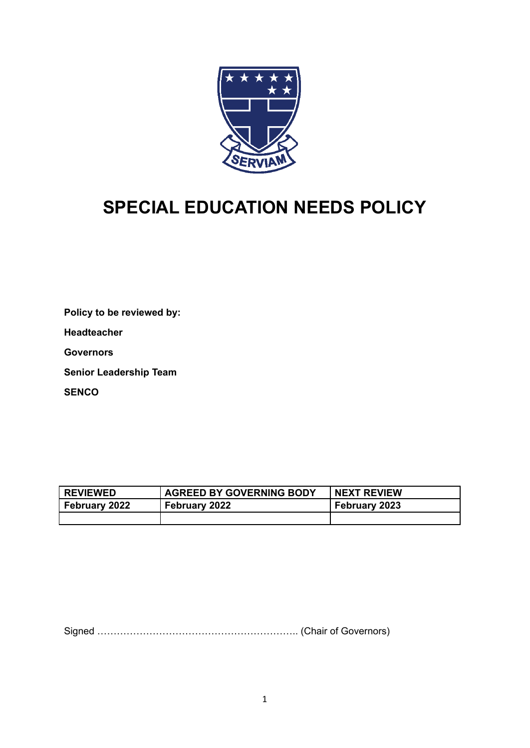

# **SPECIAL EDUCATION NEEDS POLICY**

**Policy to be reviewed by:**

**Headteacher**

**Governors**

**Senior Leadership Team**

**SENCO**

| <b>REVIEWED</b> | <b>AGREED BY GOVERNING BODY</b> | <b>NEXT REVIEW</b> |
|-----------------|---------------------------------|--------------------|
| February 2022   | February 2022                   | February 2023      |
|                 |                                 |                    |

Signed …………………………………………………….. (Chair of Governors)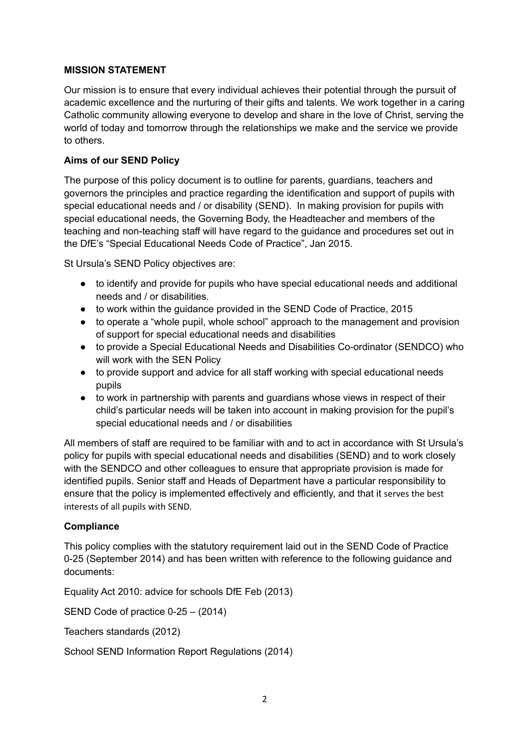## **MISSION STATEMENT**

Our mission is to ensure that every individual achieves their potential through the pursuit of academic excellence and the nurturing of their gifts and talents. We work together in a caring Catholic community allowing everyone to develop and share in the love of Christ, serving the world of today and tomorrow through the relationships we make and the service we provide to others.

## **Aims of our SEND Policy**

The purpose of this policy document is to outline for parents, guardians, teachers and governors the principles and practice regarding the identification and support of pupils with special educational needs and / or disability (SEND). In making provision for pupils with special educational needs, the Governing Body, the Headteacher and members of the teaching and non-teaching staff will have regard to the guidance and procedures set out in the DfE's "Special Educational Needs Code of Practice", Jan 2015.

St Ursula's SEND Policy objectives are:

- to identify and provide for pupils who have special educational needs and additional needs and / or disabilities.
- to work within the guidance provided in the SEND Code of Practice, 2015
- to operate a "whole pupil, whole school" approach to the management and provision of support for special educational needs and disabilities
- to provide a Special Educational Needs and Disabilities Co-ordinator (SENDCO) who will work with the SEN Policy
- to provide support and advice for all staff working with special educational needs pupils
- to work in partnership with parents and guardians whose views in respect of their child's particular needs will be taken into account in making provision for the pupil's special educational needs and / or disabilities

All members of staff are required to be familiar with and to act in accordance with St Ursula's policy for pupils with special educational needs and disabilities (SEND) and to work closely with the SENDCO and other colleagues to ensure that appropriate provision is made for identified pupils. Senior staff and Heads of Department have a particular responsibility to ensure that the policy is implemented effectively and efficiently, and that it serves the best interests of all pupils with SEND.

#### **Compliance**

This policy complies with the statutory requirement laid out in the SEND Code of Practice 0-25 (September 2014) and has been written with reference to the following guidance and documents:

Equality Act 2010: advice for schools DfE Feb (2013)

SEND Code of practice 0-25 – (2014)

Teachers standards (2012)

School SEND Information Report Regulations (2014)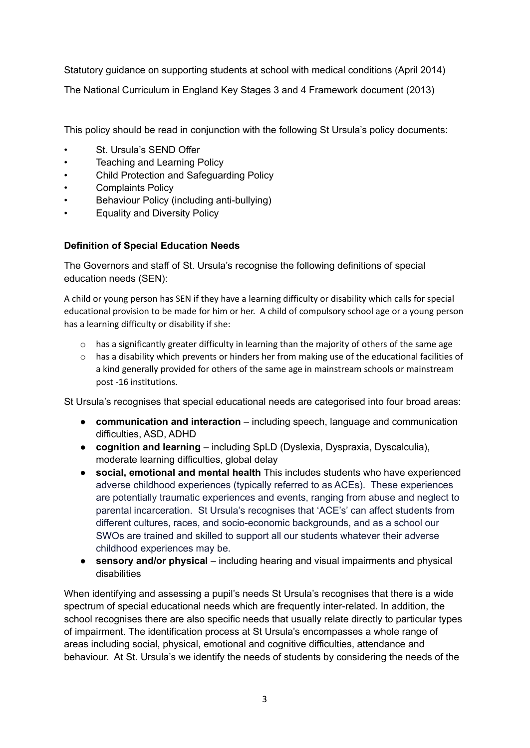Statutory guidance on supporting students at school with medical conditions (April 2014) The National Curriculum in England Key Stages 3 and 4 Framework document (2013)

This policy should be read in conjunction with the following St Ursula's policy documents:

- St. Ursula's SEND Offer
- Teaching and Learning Policy
- Child Protection and Safeguarding Policy
- Complaints Policy
- Behaviour Policy (including anti-bullying)
- Equality and Diversity Policy

## **Definition of Special Education Needs**

The Governors and staff of St. Ursula's recognise the following definitions of special education needs (SEN):

A child or young person has SEN if they have a learning difficulty or disability which calls for special educational provision to be made for him or her. A child of compulsory school age or a young person has a learning difficulty or disability if she:

- $\circ$  has a significantly greater difficulty in learning than the majority of others of the same age
- $\circ$  has a disability which prevents or hinders her from making use of the educational facilities of a kind generally provided for others of the same age in mainstream schools or mainstream post -16 institutions.

St Ursula's recognises that special educational needs are categorised into four broad areas:

- **communication and interaction** including speech, language and communication difficulties, ASD, ADHD
- **cognition and learning** including SpLD (Dyslexia, Dyspraxia, Dyscalculia), moderate learning difficulties, global delay
- **● social, emotional and mental health** This includes students who have experienced adverse childhood experiences (typically referred to as ACEs). These experiences are potentially traumatic experiences and events, ranging from abuse and neglect to parental incarceration. St Ursula's recognises that 'ACE's' can affect students from different cultures, races, and socio-economic backgrounds, and as a school our SWOs are trained and skilled to support all our students whatever their adverse childhood experiences may be.
- **sensory and/or physical** including hearing and visual impairments and physical disabilities

When identifying and assessing a pupil's needs St Ursula's recognises that there is a wide spectrum of special educational needs which are frequently inter-related. In addition, the school recognises there are also specific needs that usually relate directly to particular types of impairment. The identification process at St Ursula's encompasses a whole range of areas including social, physical, emotional and cognitive difficulties, attendance and behaviour. At St. Ursula's we identify the needs of students by considering the needs of the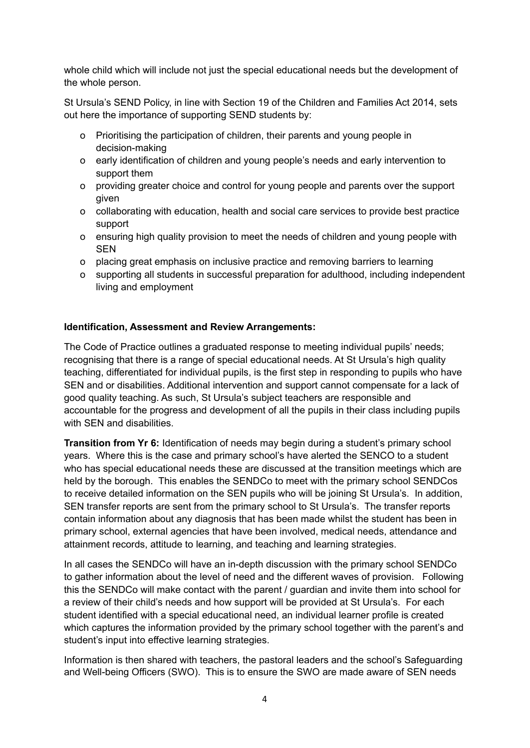whole child which will include not just the special educational needs but the development of the whole person.

St Ursula's SEND Policy, in line with Section 19 of the Children and Families Act 2014, sets out here the importance of supporting SEND students by:

- o Prioritising the participation of children, their parents and young people in decision-making
- o early identification of children and young people's needs and early intervention to support them
- o providing greater choice and control for young people and parents over the support given
- o collaborating with education, health and social care services to provide best practice support
- o ensuring high quality provision to meet the needs of children and young people with SEN
- o placing great emphasis on inclusive practice and removing barriers to learning
- o supporting all students in successful preparation for adulthood, including independent living and employment

#### **Identification, Assessment and Review Arrangements:**

The Code of Practice outlines a graduated response to meeting individual pupils' needs; recognising that there is a range of special educational needs. At St Ursula's high quality teaching, differentiated for individual pupils, is the first step in responding to pupils who have SEN and or disabilities. Additional intervention and support cannot compensate for a lack of good quality teaching. As such, St Ursula's subject teachers are responsible and accountable for the progress and development of all the pupils in their class including pupils with SEN and disabilities.

**Transition from Yr 6:** Identification of needs may begin during a student's primary school years. Where this is the case and primary school's have alerted the SENCO to a student who has special educational needs these are discussed at the transition meetings which are held by the borough. This enables the SENDCo to meet with the primary school SENDCos to receive detailed information on the SEN pupils who will be joining St Ursula's. In addition, SEN transfer reports are sent from the primary school to St Ursula's. The transfer reports contain information about any diagnosis that has been made whilst the student has been in primary school, external agencies that have been involved, medical needs, attendance and attainment records, attitude to learning, and teaching and learning strategies.

In all cases the SENDCo will have an in-depth discussion with the primary school SENDCo to gather information about the level of need and the different waves of provision. Following this the SENDCo will make contact with the parent / guardian and invite them into school for a review of their child's needs and how support will be provided at St Ursula's. For each student identified with a special educational need, an individual learner profile is created which captures the information provided by the primary school together with the parent's and student's input into effective learning strategies.

Information is then shared with teachers, the pastoral leaders and the school's Safeguarding and Well-being Officers (SWO). This is to ensure the SWO are made aware of SEN needs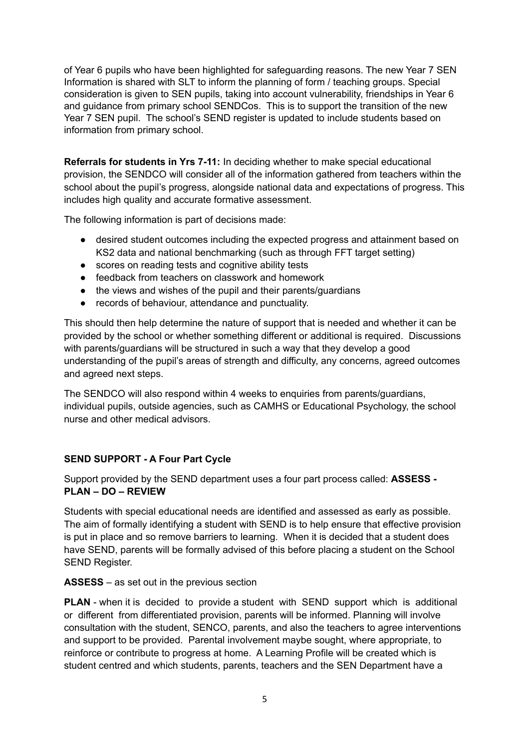of Year 6 pupils who have been highlighted for safeguarding reasons. The new Year 7 SEN Information is shared with SLT to inform the planning of form / teaching groups. Special consideration is given to SEN pupils, taking into account vulnerability, friendships in Year 6 and guidance from primary school SENDCos. This is to support the transition of the new Year 7 SEN pupil. The school's SEND register is updated to include students based on information from primary school.

**Referrals for students in Yrs 7-11:** In deciding whether to make special educational provision, the SENDCO will consider all of the information gathered from teachers within the school about the pupil's progress, alongside national data and expectations of progress. This includes high quality and accurate formative assessment.

The following information is part of decisions made:

- desired student outcomes including the expected progress and attainment based on KS2 data and national benchmarking (such as through FFT target setting)
- scores on reading tests and cognitive ability tests
- feedback from teachers on classwork and homework
- the views and wishes of the pupil and their parents/guardians
- records of behaviour, attendance and punctuality.

This should then help determine the nature of support that is needed and whether it can be provided by the school or whether something different or additional is required. Discussions with parents/guardians will be structured in such a way that they develop a good understanding of the pupil's areas of strength and difficulty, any concerns, agreed outcomes and agreed next steps.

The SENDCO will also respond within 4 weeks to enquiries from parents/guardians, individual pupils, outside agencies, such as CAMHS or Educational Psychology, the school nurse and other medical advisors.

## **SEND SUPPORT - A Four Part Cycle**

Support provided by the SEND department uses a four part process called: **ASSESS - PLAN – DO – REVIEW**

Students with special educational needs are identified and assessed as early as possible. The aim of formally identifying a student with SEND is to help ensure that effective provision is put in place and so remove barriers to learning. When it is decided that a student does have SEND, parents will be formally advised of this before placing a student on the School SEND Register.

## **ASSESS** – as set out in the previous section

**PLAN** - when it is decided to provide a student with SEND support which is additional or different from differentiated provision, parents will be informed. Planning will involve consultation with the student, SENCO, parents, and also the teachers to agree interventions and support to be provided. Parental involvement maybe sought, where appropriate, to reinforce or contribute to progress at home. A Learning Profile will be created which is student centred and which students, parents, teachers and the SEN Department have a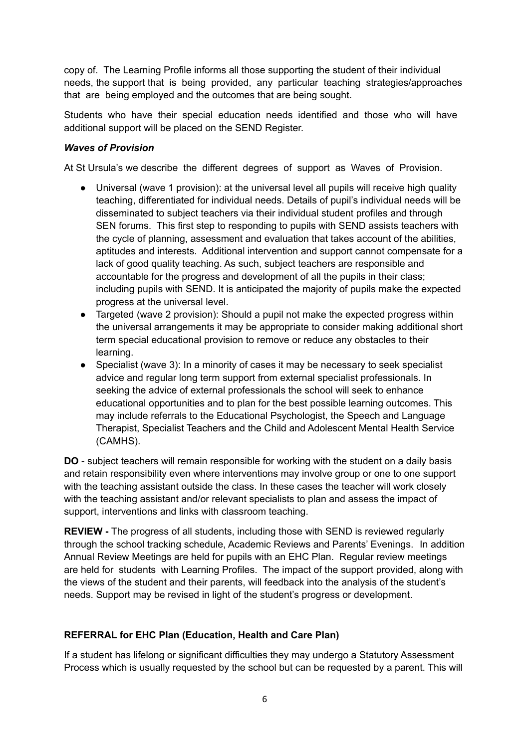copy of. The Learning Profile informs all those supporting the student of their individual needs, the support that is being provided, any particular teaching strategies/approaches that are being employed and the outcomes that are being sought.

Students who have their special education needs identified and those who will have additional support will be placed on the SEND Register.

### *Waves of Provision*

At St Ursula's we describe the different degrees of support as Waves of Provision.

- Universal (wave 1 provision): at the universal level all pupils will receive high quality teaching, differentiated for individual needs. Details of pupil's individual needs will be disseminated to subject teachers via their individual student profiles and through SEN forums. This first step to responding to pupils with SEND assists teachers with the cycle of planning, assessment and evaluation that takes account of the abilities, aptitudes and interests. Additional intervention and support cannot compensate for a lack of good quality teaching. As such, subject teachers are responsible and accountable for the progress and development of all the pupils in their class; including pupils with SEND. It is anticipated the majority of pupils make the expected progress at the universal level.
- Targeted (wave 2 provision): Should a pupil not make the expected progress within the universal arrangements it may be appropriate to consider making additional short term special educational provision to remove or reduce any obstacles to their learning.
- Specialist (wave 3): In a minority of cases it may be necessary to seek specialist advice and regular long term support from external specialist professionals. In seeking the advice of external professionals the school will seek to enhance educational opportunities and to plan for the best possible learning outcomes. This may include referrals to the Educational Psychologist, the Speech and Language Therapist, Specialist Teachers and the Child and Adolescent Mental Health Service (CAMHS).

**DO** - subject teachers will remain responsible for working with the student on a daily basis and retain responsibility even where interventions may involve group or one to one support with the teaching assistant outside the class. In these cases the teacher will work closely with the teaching assistant and/or relevant specialists to plan and assess the impact of support, interventions and links with classroom teaching.

**REVIEW -** The progress of all students, including those with SEND is reviewed regularly through the school tracking schedule, Academic Reviews and Parents' Evenings. In addition Annual Review Meetings are held for pupils with an EHC Plan. Regular review meetings are held for students with Learning Profiles. The impact of the support provided, along with the views of the student and their parents, will feedback into the analysis of the student's needs. Support may be revised in light of the student's progress or development.

## **REFERRAL for EHC Plan (Education, Health and Care Plan)**

If a student has lifelong or significant difficulties they may undergo a Statutory Assessment Process which is usually requested by the school but can be requested by a parent. This will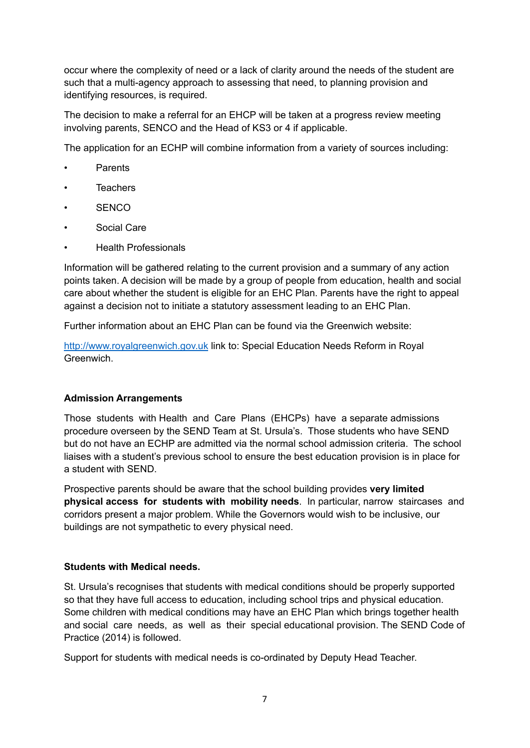occur where the complexity of need or a lack of clarity around the needs of the student are such that a multi-agency approach to assessing that need, to planning provision and identifying resources, is required.

The decision to make a referral for an EHCP will be taken at a progress review meeting involving parents, SENCO and the Head of KS3 or 4 if applicable.

The application for an ECHP will combine information from a variety of sources including:

- Parents
- **Teachers**
- SENCO
- Social Care
- Health Professionals

Information will be gathered relating to the current provision and a summary of any action points taken. A decision will be made by a group of people from education, health and social care about whether the student is eligible for an EHC Plan. Parents have the right to appeal against a decision not to initiate a statutory assessment leading to an EHC Plan.

Further information about an EHC Plan can be found via the Greenwich website:

<http://www.royalgreenwich.gov.uk> link to: Special Education Needs Reform in Royal **Greenwich** 

#### **Admission Arrangements**

Those students with Health and Care Plans (EHCPs) have a separate admissions procedure overseen by the SEND Team at St. Ursula's. Those students who have SEND but do not have an ECHP are admitted via the normal school admission criteria. The school liaises with a student's previous school to ensure the best education provision is in place for a student with SEND.

Prospective parents should be aware that the school building provides **very limited physical access for students with mobility needs**. In particular, narrow staircases and corridors present a major problem. While the Governors would wish to be inclusive, our buildings are not sympathetic to every physical need.

#### **Students with Medical needs.**

St. Ursula's recognises that students with medical conditions should be properly supported so that they have full access to education, including school trips and physical education. Some children with medical conditions may have an EHC Plan which brings together health and social care needs, as well as their special educational provision. The SEND Code of Practice (2014) is followed.

Support for students with medical needs is co-ordinated by Deputy Head Teacher.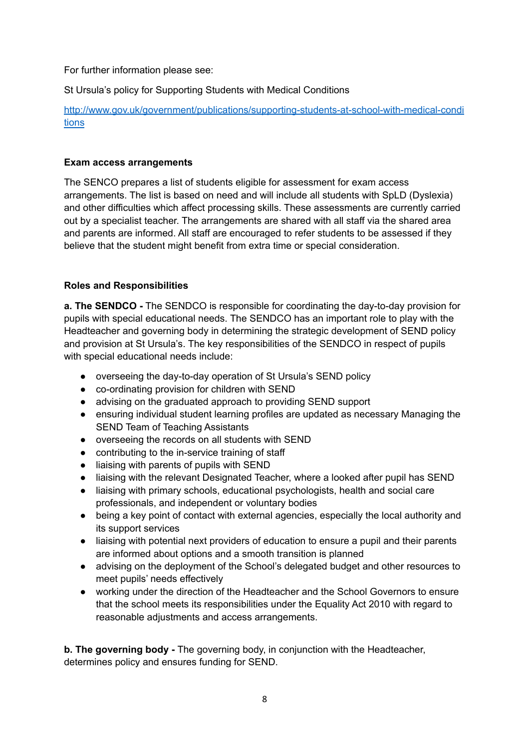For further information please see:

St Ursula's policy for Supporting Students with Medical Conditions

[http://www.gov.uk/government/publications/supporting-students-at-school-with-medical-condi](http://www.gov.uk/government/publications/supporting-students-at-school-with-medical-conditions) [tions](http://www.gov.uk/government/publications/supporting-students-at-school-with-medical-conditions)

## **Exam access arrangements**

The SENCO prepares a list of students eligible for assessment for exam access arrangements. The list is based on need and will include all students with SpLD (Dyslexia) and other difficulties which affect processing skills. These assessments are currently carried out by a specialist teacher. The arrangements are shared with all staff via the shared area and parents are informed. All staff are encouraged to refer students to be assessed if they believe that the student might benefit from extra time or special consideration.

## **Roles and Responsibilities**

**a. The SENDCO -** The SENDCO is responsible for coordinating the day-to-day provision for pupils with special educational needs. The SENDCO has an important role to play with the Headteacher and governing body in determining the strategic development of SEND policy and provision at St Ursula's. The key responsibilities of the SENDCO in respect of pupils with special educational needs include:

- overseeing the day-to-day operation of St Ursula's SEND policy
- co-ordinating provision for children with SEND
- advising on the graduated approach to providing SEND support
- ensuring individual student learning profiles are updated as necessary Managing the SEND Team of Teaching Assistants
- overseeing the records on all students with SEND
- contributing to the in-service training of staff
- liaising with parents of pupils with SEND
- liaising with the relevant Designated Teacher, where a looked after pupil has SEND
- liaising with primary schools, educational psychologists, health and social care professionals, and independent or voluntary bodies
- being a key point of contact with external agencies, especially the local authority and its support services
- liaising with potential next providers of education to ensure a pupil and their parents are informed about options and a smooth transition is planned
- advising on the deployment of the School's delegated budget and other resources to meet pupils' needs effectively
- **●** working under the direction of the Headteacher and the School Governors to ensure that the school meets its responsibilities under the Equality Act 2010 with regard to reasonable adjustments and access arrangements.

**b. The governing body -** The governing body, in conjunction with the Headteacher, determines policy and ensures funding for SEND.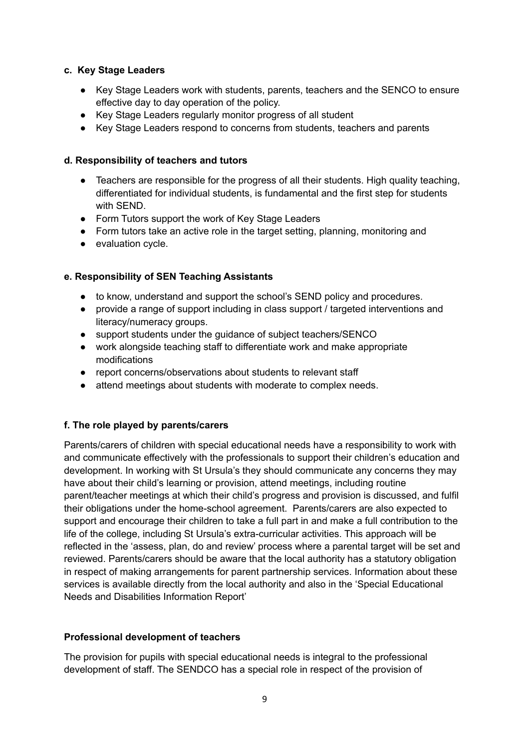#### **c. Key Stage Leaders**

- Key Stage Leaders work with students, parents, teachers and the SENCO to ensure effective day to day operation of the policy.
- Key Stage Leaders regularly monitor progress of all student
- Key Stage Leaders respond to concerns from students, teachers and parents

## **d. Responsibility of teachers and tutors**

- Teachers are responsible for the progress of all their students. High quality teaching, differentiated for individual students, is fundamental and the first step for students with SEND.
- Form Tutors support the work of Key Stage Leaders
- Form tutors take an active role in the target setting, planning, monitoring and
- evaluation cycle.

## **e. Responsibility of SEN Teaching Assistants**

- to know, understand and support the school's SEND policy and procedures.
- provide a range of support including in class support / targeted interventions and literacy/numeracy groups.
- support students under the guidance of subject teachers/SENCO
- work alongside teaching staff to differentiate work and make appropriate modifications
- report concerns/observations about students to relevant staff
- attend meetings about students with moderate to complex needs.

## **f. The role played by parents/carers**

Parents/carers of children with special educational needs have a responsibility to work with and communicate effectively with the professionals to support their children's education and development. In working with St Ursula's they should communicate any concerns they may have about their child's learning or provision, attend meetings, including routine parent/teacher meetings at which their child's progress and provision is discussed, and fulfil their obligations under the home-school agreement. Parents/carers are also expected to support and encourage their children to take a full part in and make a full contribution to the life of the college, including St Ursula's extra-curricular activities. This approach will be reflected in the 'assess, plan, do and review' process where a parental target will be set and reviewed. Parents/carers should be aware that the local authority has a statutory obligation in respect of making arrangements for parent partnership services. Information about these services is available directly from the local authority and also in the 'Special Educational Needs and Disabilities Information Report'

#### **Professional development of teachers**

The provision for pupils with special educational needs is integral to the professional development of staff. The SENDCO has a special role in respect of the provision of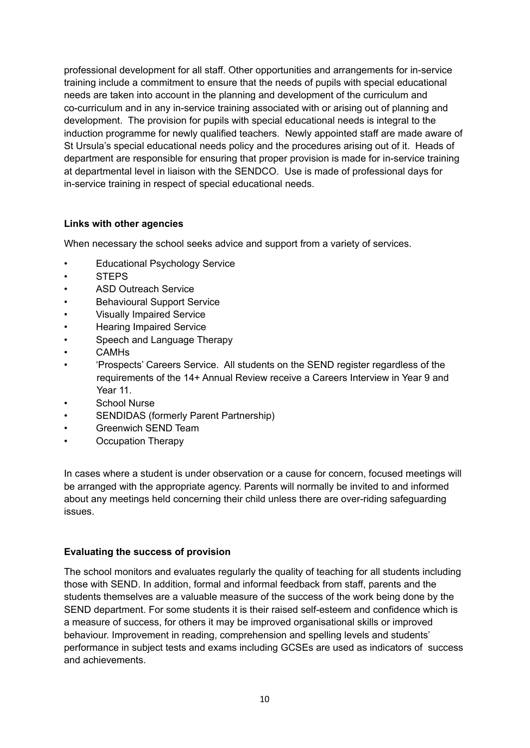professional development for all staff. Other opportunities and arrangements for in-service training include a commitment to ensure that the needs of pupils with special educational needs are taken into account in the planning and development of the curriculum and co-curriculum and in any in-service training associated with or arising out of planning and development. The provision for pupils with special educational needs is integral to the induction programme for newly qualified teachers. Newly appointed staff are made aware of St Ursula's special educational needs policy and the procedures arising out of it. Heads of department are responsible for ensuring that proper provision is made for in-service training at departmental level in liaison with the SENDCO. Use is made of professional days for in-service training in respect of special educational needs.

## **Links with other agencies**

When necessary the school seeks advice and support from a variety of services.

- **Educational Psychology Service**
- STEPS
- ASD Outreach Service
- Behavioural Support Service
- Visually Impaired Service
- Hearing Impaired Service
- Speech and Language Therapy
- CAMHs
- 'Prospects' Careers Service. All students on the SEND register regardless of the requirements of the 14+ Annual Review receive a Careers Interview in Year 9 and Year 11.
- School Nurse
- SENDIDAS (formerly Parent Partnership)
- Greenwich SEND Team
- Occupation Therapy

In cases where a student is under observation or a cause for concern, focused meetings will be arranged with the appropriate agency. Parents will normally be invited to and informed about any meetings held concerning their child unless there are over-riding safeguarding issues.

#### **Evaluating the success of provision**

The school monitors and evaluates regularly the quality of teaching for all students including those with SEND. In addition, formal and informal feedback from staff, parents and the students themselves are a valuable measure of the success of the work being done by the SEND department. For some students it is their raised self-esteem and confidence which is a measure of success, for others it may be improved organisational skills or improved behaviour. Improvement in reading, comprehension and spelling levels and students' performance in subject tests and exams including GCSEs are used as indicators of success and achievements.